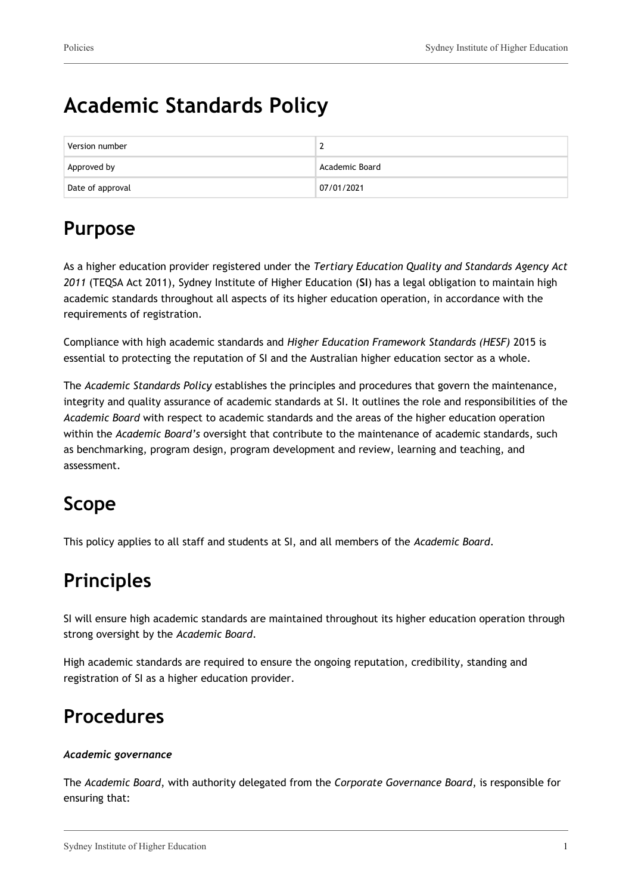# **Academic Standards Policy**

| Version number   |                |
|------------------|----------------|
| Approved by      | Academic Board |
| Date of approval | 07/01/2021     |

## **Purpose**

As a higher education provider registered under the *Tertiary Education Quality and Standards Agency Act 2011* (TEQSA Act 2011), Sydney Institute of Higher Education (**SI**) has a legal obligation to maintain high academic standards throughout all aspects of its higher education operation, in accordance with the requirements of registration.

Compliance with high academic standards and *Higher Education Framework Standards (HESF)* 2015 is essential to protecting the reputation of SI and the Australian higher education sector as a whole.

The *Academic Standards Policy* establishes the principles and procedures that govern the maintenance, integrity and quality assurance of academic standards at SI. It outlines the role and responsibilities of the *Academic Board* with respect to academic standards and the areas of the higher education operation within the *Academic Board's* oversight that contribute to the maintenance of academic standards, such as benchmarking, program design, program development and review, learning and teaching, and assessment.

# **Scope**

This policy applies to all staff and students at SI, and all members of the *Academic Board*.

## **Principles**

SI will ensure high academic standards are maintained throughout its higher education operation through strong oversight by the *Academic Board*.

High academic standards are required to ensure the ongoing reputation, credibility, standing and registration of SI as a higher education provider.

### **Procedures**

#### *Academic governance*

The *Academic Board*, with authority delegated from the *Corporate Governance Board*, is responsible for ensuring that: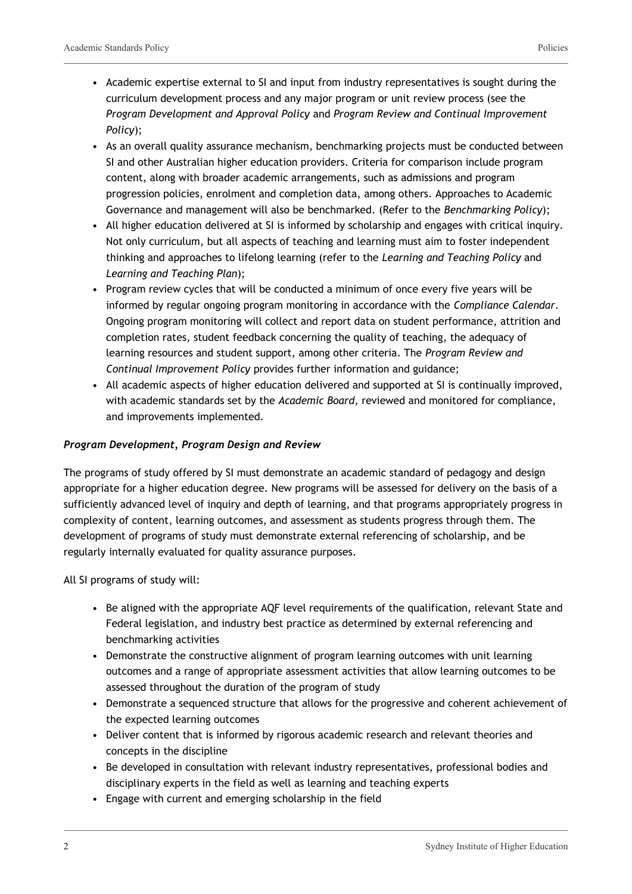- Academic expertise external to SI and input from industry representatives is sought during the curriculum development process and any major program or unit review process (see the *Program Development and Approval Policy* and *Program Review and Continual Improvement Policy*);
- As an overall quality assurance mechanism, benchmarking projects must be conducted between SI and other Australian higher education providers. Criteria for comparison include program content, along with broader academic arrangements, such as admissions and program progression policies, enrolment and completion data, among others. Approaches to Academic Governance and management will also be benchmarked. (Refer to the *Benchmarking Policy*);
- All higher education delivered at SI is informed by scholarship and engages with critical inquiry. Not only curriculum, but all aspects of teaching and learning must aim to foster independent thinking and approaches to lifelong learning (refer to the *Learning and Teaching Policy* and *Learning and Teaching Plan*);
- Program review cycles that will be conducted a minimum of once every five years will be informed by regular ongoing program monitoring in accordance with the *Compliance Calendar*. Ongoing program monitoring will collect and report data on student performance, attrition and completion rates, student feedback concerning the quality of teaching, the adequacy of learning resources and student support, among other criteria. The *Program Review and Continual Improvement Policy* provides further information and guidance;
- All academic aspects of higher education delivered and supported at SI is continually improved, with academic standards set by the *Academic Board*, reviewed and monitored for compliance, and improvements implemented.

#### *Program Development, Program Design and Review*

The programs of study offered by SI must demonstrate an academic standard of pedagogy and design appropriate for a higher education degree. New programs will be assessed for delivery on the basis of a sufficiently advanced level of inquiry and depth of learning, and that programs appropriately progress in complexity of content, learning outcomes, and assessment as students progress through them. The development of programs of study must demonstrate external referencing of scholarship, and be regularly internally evaluated for quality assurance purposes.

All SI programs of study will:

- Be aligned with the appropriate AQF level requirements of the qualification, relevant State and Federal legislation, and industry best practice as determined by external referencing and benchmarking activities
- Demonstrate the constructive alignment of program learning outcomes with unit learning outcomes and a range of appropriate assessment activities that allow learning outcomes to be assessed throughout the duration of the program of study
- Demonstrate a sequenced structure that allows for the progressive and coherent achievement of the expected learning outcomes
- Deliver content that is informed by rigorous academic research and relevant theories and concepts in the discipline
- Be developed in consultation with relevant industry representatives, professional bodies and disciplinary experts in the field as well as learning and teaching experts
- Engage with current and emerging scholarship in the field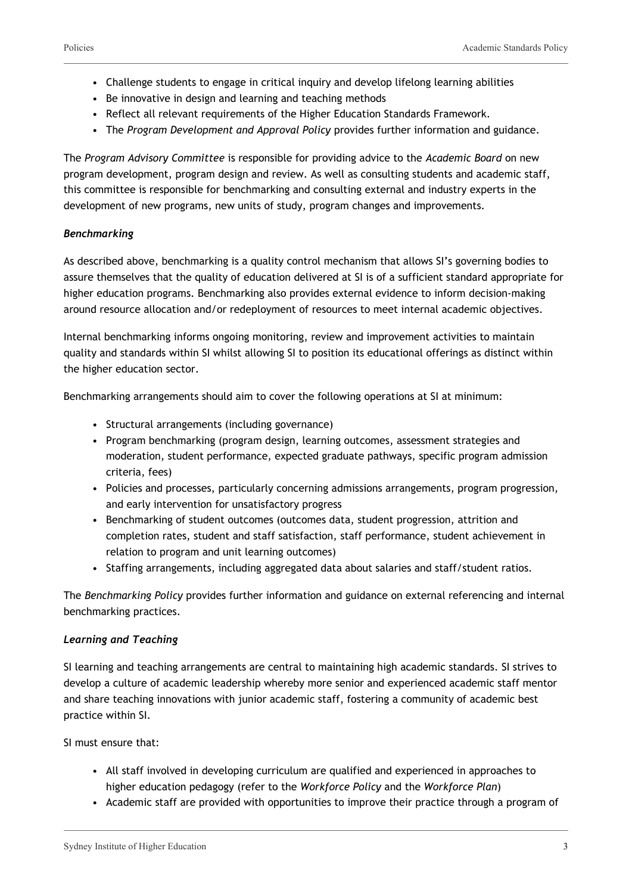- Challenge students to engage in critical inquiry and develop lifelong learning abilities
- Be innovative in design and learning and teaching methods
- Reflect all relevant requirements of the Higher Education Standards Framework.
- The *Program Development and Approval Policy* provides further information and guidance.

The *Program Advisory Committee* is responsible for providing advice to the *Academic Board* on new program development, program design and review. As well as consulting students and academic staff, this committee is responsible for benchmarking and consulting external and industry experts in the development of new programs, new units of study, program changes and improvements.

#### *Benchmarking*

As described above, benchmarking is a quality control mechanism that allows SI's governing bodies to assure themselves that the quality of education delivered at SI is of a sufficient standard appropriate for higher education programs. Benchmarking also provides external evidence to inform decision-making around resource allocation and/or redeployment of resources to meet internal academic objectives.

Internal benchmarking informs ongoing monitoring, review and improvement activities to maintain quality and standards within SI whilst allowing SI to position its educational offerings as distinct within the higher education sector.

Benchmarking arrangements should aim to cover the following operations at SI at minimum:

- Structural arrangements (including governance)
- Program benchmarking (program design, learning outcomes, assessment strategies and moderation, student performance, expected graduate pathways, specific program admission criteria, fees)
- Policies and processes, particularly concerning admissions arrangements, program progression, and early intervention for unsatisfactory progress
- Benchmarking of student outcomes (outcomes data, student progression, attrition and completion rates, student and staff satisfaction, staff performance, student achievement in relation to program and unit learning outcomes)
- Staffing arrangements, including aggregated data about salaries and staff/student ratios.

The *Benchmarking Policy* provides further information and guidance on external referencing and internal benchmarking practices.

#### *Learning and Teaching*

SI learning and teaching arrangements are central to maintaining high academic standards. SI strives to develop a culture of academic leadership whereby more senior and experienced academic staff mentor and share teaching innovations with junior academic staff, fostering a community of academic best practice within SI.

SI must ensure that:

- All staff involved in developing curriculum are qualified and experienced in approaches to higher education pedagogy (refer to the *Workforce Policy* and the *Workforce Plan*)
- Academic staff are provided with opportunities to improve their practice through a program of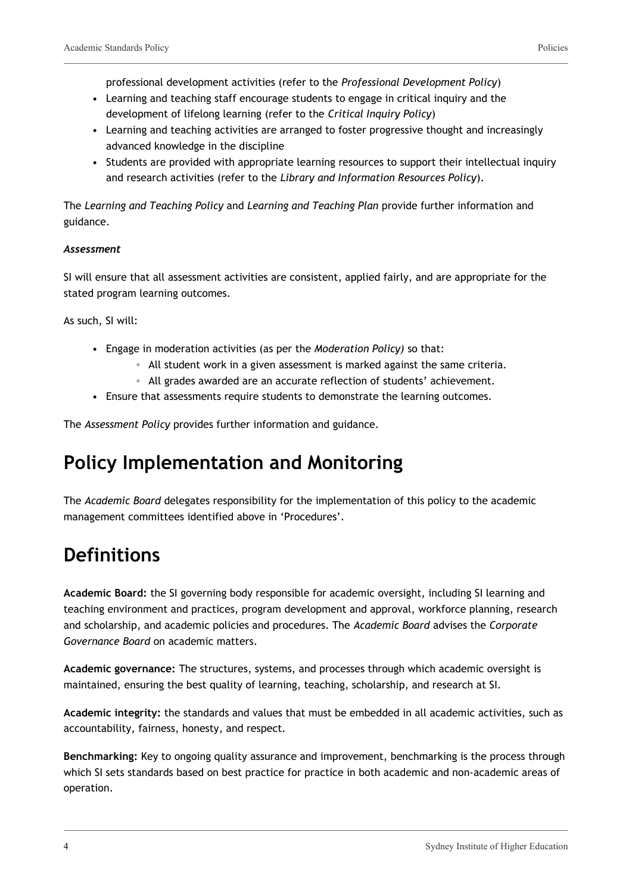professional development activities (refer to the *Professional Development Policy*)

- Learning and teaching staff encourage students to engage in critical inquiry and the development of lifelong learning (refer to the *Critical Inquiry Policy*)
- Learning and teaching activities are arranged to foster progressive thought and increasingly advanced knowledge in the discipline
- Students are provided with appropriate learning resources to support their intellectual inquiry and research activities (refer to the *Library and Information Resources Policy*).

The *Learning and Teaching Policy* and *Learning and Teaching Plan* provide further information and guidance.

#### *Assessment*

SI will ensure that all assessment activities are consistent, applied fairly, and are appropriate for the stated program learning outcomes.

As such, SI will:

- Engage in moderation activities (as per the *Moderation Policy)* so that:
	- All student work in a given assessment is marked against the same criteria.
	- All grades awarded are an accurate reflection of students' achievement.
- Ensure that assessments require students to demonstrate the learning outcomes.

The *Assessment Policy* provides further information and guidance.

### **Policy Implementation and Monitoring**

The *Academic Board* delegates responsibility for the implementation of this policy to the academic management committees identified above in 'Procedures'.

## **Definitions**

**Academic Board:** the SI governing body responsible for academic oversight, including SI learning and teaching environment and practices, program development and approval, workforce planning, research and scholarship, and academic policies and procedures. The *Academic Board* advises the *Corporate Governance Board* on academic matters.

**Academic governance:** The structures, systems, and processes through which academic oversight is maintained, ensuring the best quality of learning, teaching, scholarship, and research at SI.

**Academic integrity:** the standards and values that must be embedded in all academic activities, such as accountability, fairness, honesty, and respect.

**Benchmarking:** Key to ongoing quality assurance and improvement, benchmarking is the process through which SI sets standards based on best practice for practice in both academic and non-academic areas of operation.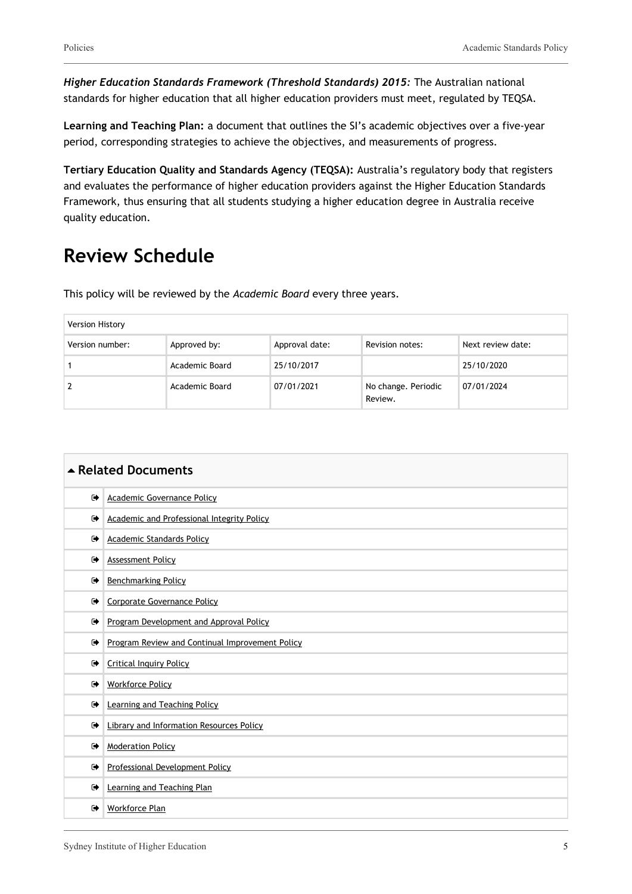*Higher Education Standards Framework (Threshold Standards) 2015:* The Australian national standards for higher education that all higher education providers must meet, regulated by TEQSA.

**Learning and Teaching Plan:** a document that outlines the SI's academic objectives over a five-year period, corresponding strategies to achieve the objectives, and measurements of progress.

**Tertiary Education Quality and Standards Agency (TEQSA):** Australia's regulatory body that registers and evaluates the performance of higher education providers against the Higher Education Standards Framework, thus ensuring that all students studying a higher education degree in Australia receive quality education.

### **Review Schedule**

This policy will be reviewed by the *Academic Board* every three years.

| <b>Version History</b> |                |                |                                |                   |
|------------------------|----------------|----------------|--------------------------------|-------------------|
| Version number:        | Approved by:   | Approval date: | Revision notes:                | Next review date: |
|                        | Academic Board | 25/10/2017     |                                | 25/10/2020        |
| 2                      | Academic Board | 07/01/2021     | No change. Periodic<br>Review. | 07/01/2024        |

| ▲ Related Documents |                                                 |  |
|---------------------|-------------------------------------------------|--|
| $\bullet$           | <b>Academic Governance Policy</b>               |  |
| ☞                   | Academic and Professional Integrity Policy      |  |
| $\bullet$           | <b>Academic Standards Policy</b>                |  |
| $\rightarrow$       | <b>Assessment Policy</b>                        |  |
| $\bullet$           | <b>Benchmarking Policy</b>                      |  |
| $\bullet$           | Corporate Governance Policy                     |  |
| ☞                   | Program Development and Approval Policy         |  |
| $\bullet$           | Program Review and Continual Improvement Policy |  |
| $\bullet$           | <b>Critical Inquiry Policy</b>                  |  |
| $\bullet$           | <b>Workforce Policy</b>                         |  |
| $\bullet$           | Learning and Teaching Policy                    |  |
| $\bullet$           | <b>Library and Information Resources Policy</b> |  |
| $\rightarrow$       | <b>Moderation Policy</b>                        |  |
| $\bullet$           | Professional Development Policy                 |  |
| $\bullet$           | Learning and Teaching Plan                      |  |
| $\bullet$           | Workforce Plan                                  |  |